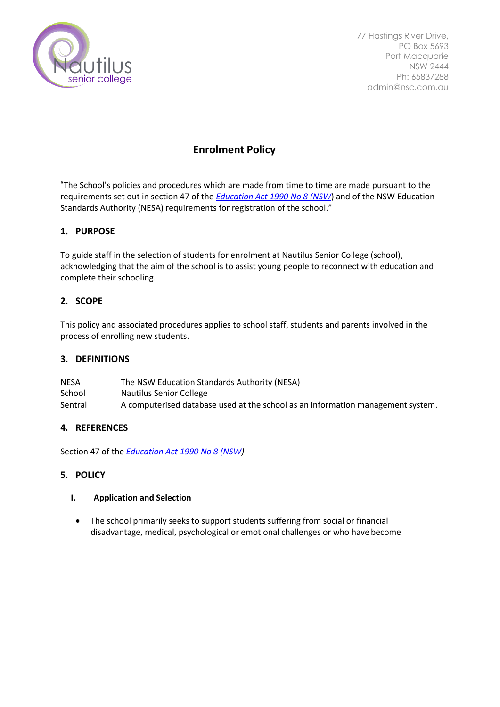

77 Hastings River Drive, PO Box 5693 Port Macquarie NSW 2444 Ph: 65837288 admin@nsc.com.au

# **Enrolment Policy**

"The School's policies and procedures which are made from time to time are made pursuant to the requirements set out in section 47 of the *[Education Act 1990 No 8 \(NSW](http://www.legislation.nsw.gov.au/)*) and of the NSW Education Standards Authority (NESA) requirements for registration of the school."

# **1. PURPOSE**

To guide staff in the selection of students for enrolment at Nautilus Senior College (school), acknowledging that the aim of the school is to assist young people to reconnect with education and complete their schooling.

# **2. SCOPE**

This policy and associated procedures applies to school staff, students and parents involved in the process of enrolling new students.

### **3. DEFINITIONS**

| <b>NESA</b> | The NSW Education Standards Authority (NESA)                                    |
|-------------|---------------------------------------------------------------------------------|
| School      | Nautilus Senior College                                                         |
| Sentral     | A computerised database used at the school as an information management system. |

### **4. REFERENCES**

Section 47 of the *[Education Act 1990 No 8 \(NSW\)](http://www.legislation.nsw.gov.au/)*

### **5. POLICY**

### **I. Application and Selection**

• The school primarily seeks to support students suffering from social or financial disadvantage, medical, psychological or emotional challenges or who have become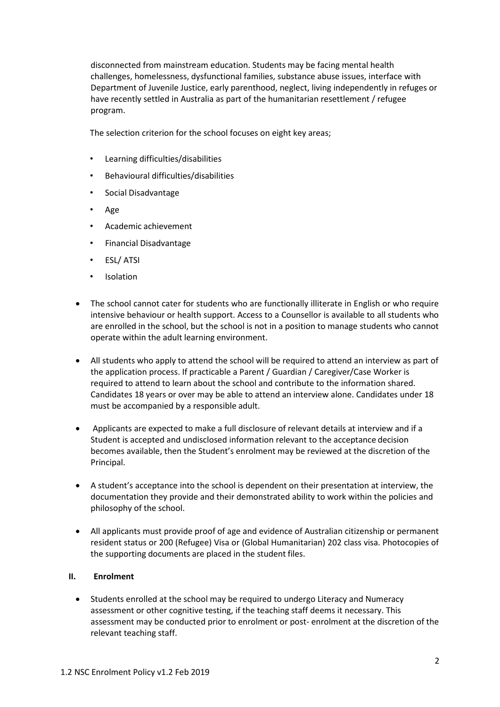disconnected from mainstream education. Students may be facing mental health challenges, homelessness, dysfunctional families, substance abuse issues, interface with Department of Juvenile Justice, early parenthood, neglect, living independently in refuges or have recently settled in Australia as part of the humanitarian resettlement / refugee program.

The selection criterion for the school focuses on eight key areas;

- Learning difficulties/disabilities
- Behavioural difficulties/disabilities
- Social Disadvantage
- Age
- Academic achievement
- Financial Disadvantage
- ESL/ ATSI
- **Isolation**
- The school cannot cater for students who are functionally illiterate in English or who require intensive behaviour or health support. Access to a Counsellor is available to all students who are enrolled in the school, but the school is not in a position to manage students who cannot operate within the adult learning environment.
- All students who apply to attend the school will be required to attend an interview as part of the application process. If practicable a Parent / Guardian / Caregiver/Case Worker is required to attend to learn about the school and contribute to the information shared. Candidates 18 years or over may be able to attend an interview alone. Candidates under 18 must be accompanied by a responsible adult.
- Applicants are expected to make a full disclosure of relevant details at interview and if a Student is accepted and undisclosed information relevant to the acceptance decision becomes available, then the Student's enrolment may be reviewed at the discretion of the Principal.
- A student's acceptance into the school is dependent on their presentation at interview, the documentation they provide and their demonstrated ability to work within the policies and philosophy of the school.
- All applicants must provide proof of age and evidence of Australian citizenship or permanent resident status or 200 (Refugee) Visa or (Global Humanitarian) 202 class visa. Photocopies of the supporting documents are placed in the student files.

#### **II. Enrolment**

• Students enrolled at the school may be required to undergo Literacy and Numeracy assessment or other cognitive testing, if the teaching staff deems it necessary. This assessment may be conducted prior to enrolment or post- enrolment at the discretion of the relevant teaching staff.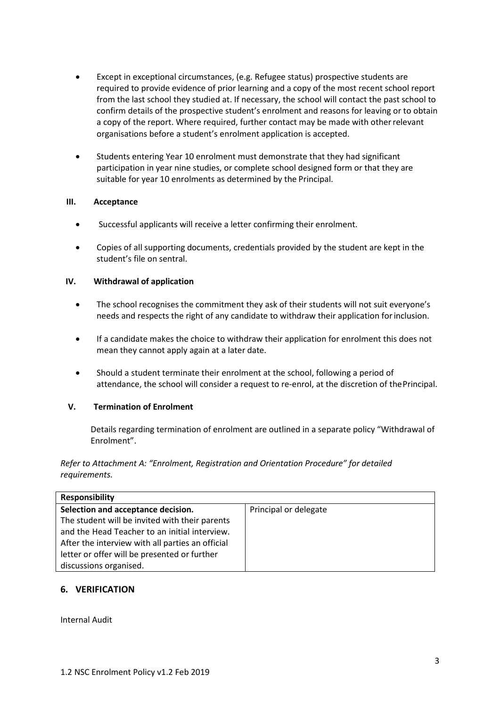- Except in exceptional circumstances, (e.g. Refugee status) prospective students are required to provide evidence of prior learning and a copy of the most recent school report from the last school they studied at. If necessary, the school will contact the past school to confirm details of the prospective student's enrolment and reasons for leaving or to obtain a copy of the report. Where required, further contact may be made with otherrelevant organisations before a student's enrolment application is accepted.
- Students entering Year 10 enrolment must demonstrate that they had significant participation in year nine studies, or complete school designed form or that they are suitable for year 10 enrolments as determined by the Principal.

#### **III. Acceptance**

- Successful applicants will receive a letter confirming their enrolment.
- Copies of all supporting documents, credentials provided by the student are kept in the student's file on sentral.

#### **IV. Withdrawal of application**

- The school recognises the commitment they ask of their students will not suit everyone's needs and respects the right of any candidate to withdraw their application forinclusion.
- If a candidate makes the choice to withdraw their application for enrolment this does not mean they cannot apply again at a later date.
- Should a student terminate their enrolment at the school, following a period of attendance, the school will consider a request to re-enrol, at the discretion of thePrincipal.

### **V. Termination of Enrolment**

Details regarding termination of enrolment are outlined in a separate policy "Withdrawal of Enrolment".

*Refer to Attachment A: "Enrolment, Registration and Orientation Procedure" for detailed requirements.*

| <b>Responsibility</b>                            |                       |  |  |  |
|--------------------------------------------------|-----------------------|--|--|--|
| Selection and acceptance decision.               | Principal or delegate |  |  |  |
| The student will be invited with their parents   |                       |  |  |  |
| and the Head Teacher to an initial interview.    |                       |  |  |  |
| After the interview with all parties an official |                       |  |  |  |
| letter or offer will be presented or further     |                       |  |  |  |
| discussions organised.                           |                       |  |  |  |

### **6. VERIFICATION**

Internal Audit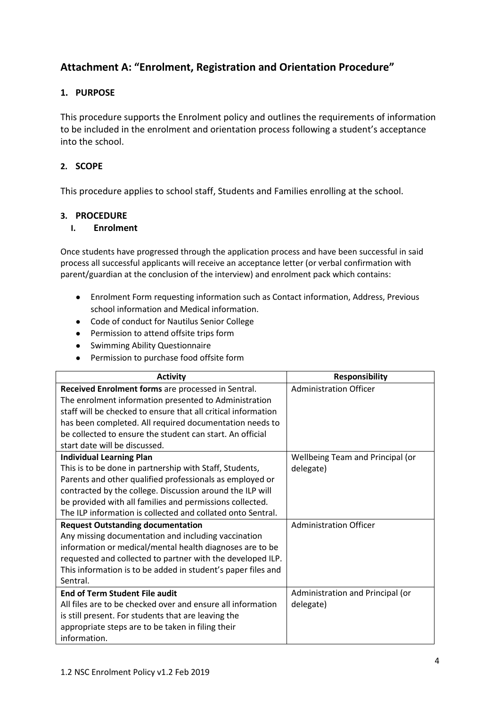# **Attachment A: "Enrolment, Registration and Orientation Procedure"**

# **1. PURPOSE**

This procedure supports the Enrolment policy and outlines the requirements of information to be included in the enrolment and orientation process following a student's acceptance into the school.

## **2. SCOPE**

This procedure applies to school staff, Students and Families enrolling at the school.

## **3. PROCEDURE**

## **I. Enrolment**

Once students have progressed through the application process and have been successful in said process all successful applicants will receive an acceptance letter (or verbal confirmation with parent/guardian at the conclusion of the interview) and enrolment pack which contains:

- Enrolment Form requesting information such as Contact information, Address, Previous school information and Medical information.
- Code of conduct for Nautilus Senior College
- Permission to attend offsite trips form
- Swimming Ability Questionnaire
- Permission to purchase food offsite form

| <b>Activity</b>                                               | <b>Responsibility</b>            |
|---------------------------------------------------------------|----------------------------------|
| Received Enrolment forms are processed in Sentral.            | <b>Administration Officer</b>    |
| The enrolment information presented to Administration         |                                  |
| staff will be checked to ensure that all critical information |                                  |
| has been completed. All required documentation needs to       |                                  |
| be collected to ensure the student can start. An official     |                                  |
| start date will be discussed.                                 |                                  |
| <b>Individual Learning Plan</b>                               | Wellbeing Team and Principal (or |
| This is to be done in partnership with Staff, Students,       | delegate)                        |
| Parents and other qualified professionals as employed or      |                                  |
| contracted by the college. Discussion around the ILP will     |                                  |
| be provided with all families and permissions collected.      |                                  |
| The ILP information is collected and collated onto Sentral.   |                                  |
| <b>Request Outstanding documentation</b>                      | <b>Administration Officer</b>    |
| Any missing documentation and including vaccination           |                                  |
| information or medical/mental health diagnoses are to be      |                                  |
| requested and collected to partner with the developed ILP.    |                                  |
| This information is to be added in student's paper files and  |                                  |
| Sentral.                                                      |                                  |
| <b>End of Term Student File audit</b>                         | Administration and Principal (or |
| All files are to be checked over and ensure all information   | delegate)                        |
| is still present. For students that are leaving the           |                                  |
| appropriate steps are to be taken in filing their             |                                  |
| information.                                                  |                                  |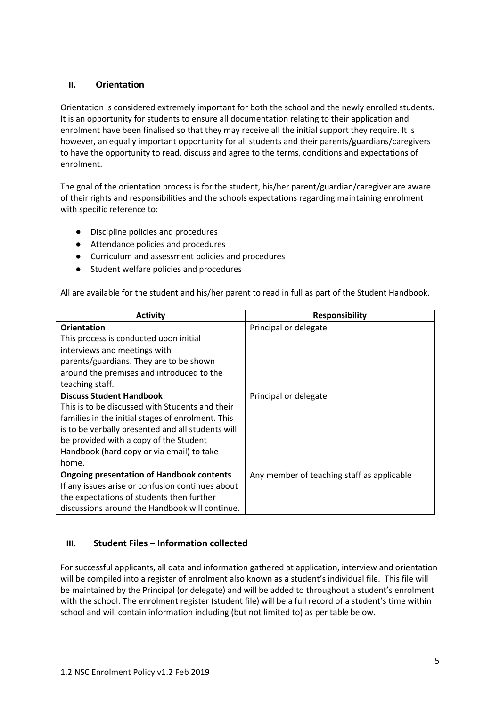## **II. Orientation**

Orientation is considered extremely important for both the school and the newly enrolled students. It is an opportunity for students to ensure all documentation relating to their application and enrolment have been finalised so that they may receive all the initial support they require. It is however, an equally important opportunity for all students and their parents/guardians/caregivers to have the opportunity to read, discuss and agree to the terms, conditions and expectations of enrolment.

The goal of the orientation process is for the student, his/her parent/guardian/caregiver are aware of their rights and responsibilities and the schools expectations regarding maintaining enrolment with specific reference to:

- Discipline policies and procedures
- Attendance policies and procedures
- Curriculum and assessment policies and procedures
- Student welfare policies and procedures

All are available for the student and his/her parent to read in full as part of the Student Handbook.

| <b>Activity</b>                                   | <b>Responsibility</b>                      |
|---------------------------------------------------|--------------------------------------------|
| <b>Orientation</b>                                | Principal or delegate                      |
| This process is conducted upon initial            |                                            |
| interviews and meetings with                      |                                            |
| parents/guardians. They are to be shown           |                                            |
| around the premises and introduced to the         |                                            |
| teaching staff.                                   |                                            |
| <b>Discuss Student Handbook</b>                   | Principal or delegate                      |
| This is to be discussed with Students and their   |                                            |
| families in the initial stages of enrolment. This |                                            |
| is to be verbally presented and all students will |                                            |
| be provided with a copy of the Student            |                                            |
| Handbook (hard copy or via email) to take         |                                            |
| home.                                             |                                            |
| <b>Ongoing presentation of Handbook contents</b>  | Any member of teaching staff as applicable |
| If any issues arise or confusion continues about  |                                            |
| the expectations of students then further         |                                            |
| discussions around the Handbook will continue.    |                                            |

# **III. Student Files – Information collected**

For successful applicants, all data and information gathered at application, interview and orientation will be compiled into a register of enrolment also known as a student's individual file. This file will be maintained by the Principal (or delegate) and will be added to throughout a student's enrolment with the school. The enrolment register (student file) will be a full record of a student's time within school and will contain information including (but not limited to) as per table below.